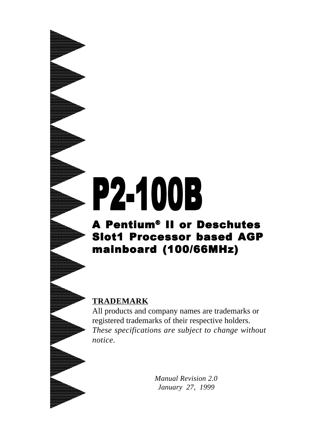# P2-100B

# A Pentium® II or Deschutes Slot1 Processor based AGP mainboard (100/66MHz) mainboard (100/66MHz)

#### **TRADEMARK**

All products and company names are trademarks or registered trademarks of their respective holders. *These specifications are subject to change without notice.*

> *Manual Revision 2.0 January 27, 1999*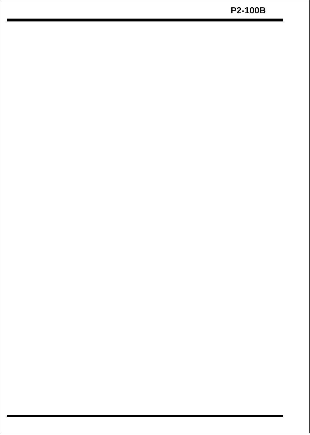**P2-100B**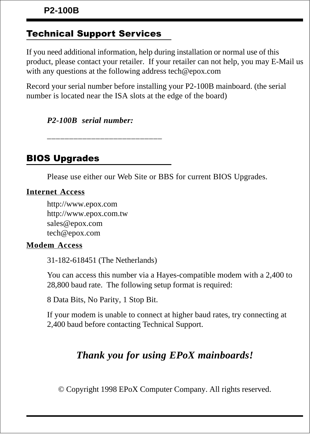#### Technical Support Services

If you need additional information, help during installation or normal use of this product, please contact your retailer. If your retailer can not help, you may E-Mail us with any questions at the following address tech@epox.com

Record your serial number before installing your P2-100B mainboard. (the serial number is located near the ISA slots at the edge of the board)

*P2-100B serial number:*

\_\_\_\_\_\_\_\_\_\_\_\_\_\_\_\_\_\_\_\_\_\_\_\_\_\_

#### BIOS Upgrades

Please use either our Web Site or BBS for current BIOS Upgrades.

#### **Internet Access**

http://www.epox.com http://www.epox.com.tw sales@epox.com tech@epox.com

#### **Modem Access**

31-182-618451 (The Netherlands)

You can access this number via a Hayes-compatible modem with a 2,400 to 28,800 baud rate. The following setup format is required:

8 Data Bits, No Parity, 1 Stop Bit.

If your modem is unable to connect at higher baud rates, try connecting at 2,400 baud before contacting Technical Support.

# *Thank you for using EPoX mainboards!*

© Copyright 1998 EPoX Computer Company. All rights reserved.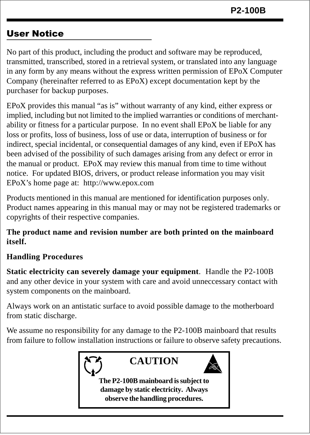#### User Notice

No part of this product, including the product and software may be reproduced, transmitted, transcribed, stored in a retrieval system, or translated into any language in any form by any means without the express written permission of EPoX Computer Company (hereinafter referred to as EPoX) except documentation kept by the purchaser for backup purposes.

EPoX provides this manual "as is" without warranty of any kind, either express or implied, including but not limited to the implied warranties or conditions of merchantability or fitness for a particular purpose. In no event shall EPoX be liable for any loss or profits, loss of business, loss of use or data, interruption of business or for indirect, special incidental, or consequential damages of any kind, even if EPoX has been advised of the possibility of such damages arising from any defect or error in the manual or product. EPoX may review this manual from time to time without notice. For updated BIOS, drivers, or product release information you may visit EPoX's home page at: http://www.epox.com

Products mentioned in this manual are mentioned for identification purposes only. Product names appearing in this manual may or may not be registered trademarks or copyrights of their respective companies.

#### **The product name and revision number are both printed on the mainboard itself.**

#### **Handling Procedures**

**Static electricity can severely damage your equipment**. Handle the P2-100B and any other device in your system with care and avoid unneccessary contact with system components on the mainboard.

Always work on an antistatic surface to avoid possible damage to the motherboard from static discharge.

We assume no responsibility for any damage to the P2-100B mainboard that results from failure to follow installation instructions or failure to observe safety precautions.

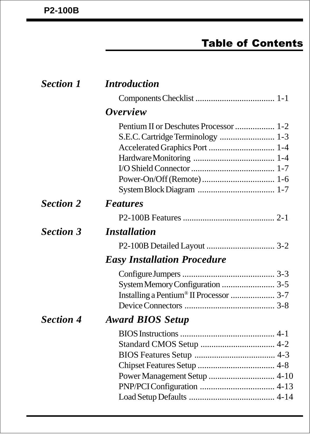# Table of Contents

| <b>Section 1</b> | <i><b>Introduction</b></i>              |
|------------------|-----------------------------------------|
|                  |                                         |
|                  | Overview                                |
|                  | S.E.C. Cartridge Terminology  1-3       |
|                  |                                         |
| <b>Section 2</b> | <b>Features</b>                         |
|                  |                                         |
| <b>Section 3</b> | <i><b>Installation</b></i>              |
|                  |                                         |
|                  | <b>Easy Installation Procedure</b>      |
|                  | Installing a Pentium® II Processor  3-7 |
| <b>Section 4</b> | <b>Award BIOS Setup</b>                 |
|                  |                                         |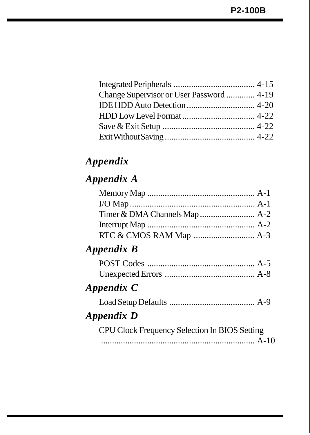| Change Supervisor or User Password  4-19 |  |
|------------------------------------------|--|
|                                          |  |
|                                          |  |
|                                          |  |
|                                          |  |
|                                          |  |

# *Appendix*

# *Appendix A*

# *Appendix B*

# *Appendix C*

|--|--|--|

# *Appendix D*

| CPU Clock Frequency Selection In BIOS Setting |  |
|-----------------------------------------------|--|
|                                               |  |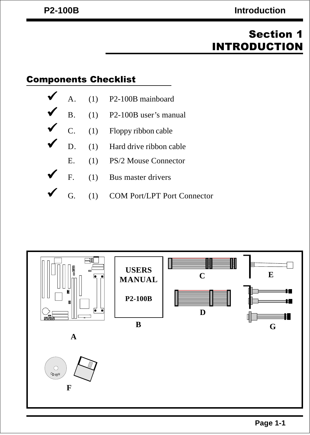# Section 1 INTRODUCTION

#### Components Checklist



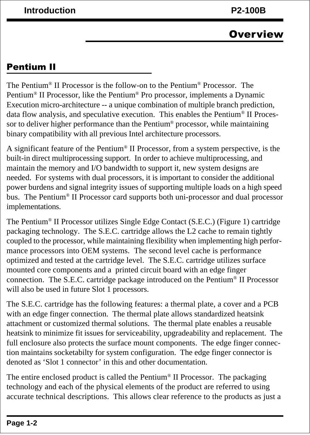## **Overview**

#### Pentium II

The Pentium® II Processor is the follow-on to the Pentium® Processor. The Pentium® II Processor, like the Pentium® Pro processor, implements a Dynamic Execution micro-architecture -- a unique combination of multiple branch prediction, data flow analysis, and speculative execution. This enables the Pentium® II Processor to deliver higher performance than the Pentium<sup>®</sup> processor, while maintaining binary compatibility with all previous Intel architecture processors.

A significant feature of the Pentium® II Processor, from a system perspective, is the built-in direct multiprocessing support. In order to achieve multiprocessing, and maintain the memory and I/O bandwidth to support it, new system designs are needed. For systems with dual processors, it is important to consider the additional power burdens and signal integrity issues of supporting multiple loads on a high speed bus. The Pentium® II Processor card supports both uni-processor and dual processor implementations.

The Pentium® II Processor utilizes Single Edge Contact (S.E.C.) (Figure 1) cartridge packaging technology. The S.E.C. cartridge allows the L2 cache to remain tightly coupled to the processor, while maintaining flexibility when implementing high performance processors into OEM systems. The second level cache is performance optimized and tested at the cartridge level. The S.E.C. cartridge utilizes surface mounted core components and a printed circuit board with an edge finger connection. The S.E.C. cartridge package introduced on the Pentium® II Processor will also be used in future Slot 1 processors.

The S.E.C. cartridge has the following features: a thermal plate, a cover and a PCB with an edge finger connection. The thermal plate allows standardized heatsink attachment or customized thermal solutions. The thermal plate enables a reusable heatsink to minimize fit issues for serviceability, upgradeability and replacement. The full enclosure also protects the surface mount components. The edge finger connection maintains socketabilty for system configuration. The edge finger connector is denoted as 'Slot 1 connector' in this and other documentation.

The entire enclosed product is called the Pentium® II Processor. The packaging technology and each of the physical elements of the product are referred to using accurate technical descriptions. This allows clear reference to the products as just a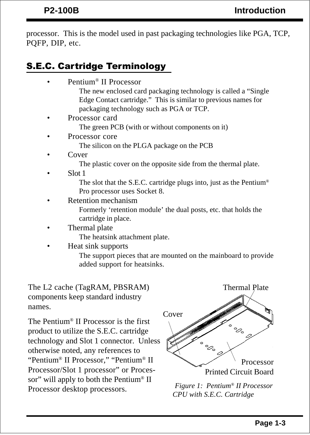processor. This is the model used in past packaging technologies like PGA, TCP, PQFP, DIP, etc.

#### S.E.C. Cartridge Terminology

| Pentium <sup>®</sup> II Processor                                               |
|---------------------------------------------------------------------------------|
| The new enclosed card packaging technology is called a "Single"                 |
| Edge Contact cartridge." This is similar to previous names for                  |
| packaging technology such as PGA or TCP.                                        |
| Processor card                                                                  |
| The green PCB (with or without components on it)                                |
| Processor core                                                                  |
| The silicon on the PLGA package on the PCB                                      |
| Cover                                                                           |
| The plastic cover on the opposite side from the thermal plate.                  |
| Slot 1                                                                          |
| The slot that the S.E.C. cartridge plugs into, just as the Pentium <sup>®</sup> |
| Pro processor uses Socket 8.                                                    |
| Retention mechanism                                                             |
| Formerly 'retention module' the dual posts, etc. that holds the                 |
| cartridge in place.                                                             |

Thermal plate

The heatsink attachment plate.

• Heat sink supports

The support pieces that are mounted on the mainboard to provide added support for heatsinks.

The L2 cache (TagRAM, PBSRAM) components keep standard industry names.

The Pentium® II Processor is the first product to utilize the S.E.C. cartridge technology and Slot 1 connector. Unless otherwise noted, any references to "Pentium® II Processor," "Pentium® II Processor/Slot 1 processor" or Processor" will apply to both the Pentium® II Processor desktop processors.



*Figure 1: Pentium® II Processor CPU with S.E.C. Cartridge*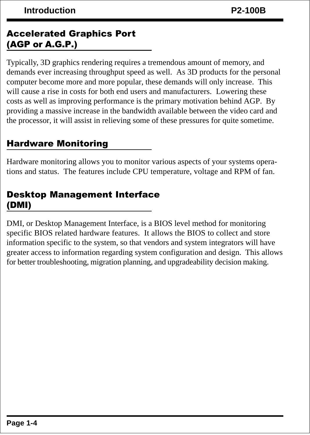#### Accelerated Graphics Port (AGP or A.G.P.)

Typically, 3D graphics rendering requires a tremendous amount of memory, and demands ever increasing throughput speed as well. As 3D products for the personal computer become more and more popular, these demands will only increase. This will cause a rise in costs for both end users and manufacturers. Lowering these costs as well as improving performance is the primary motivation behind AGP. By providing a massive increase in the bandwidth available between the video card and the processor, it will assist in relieving some of these pressures for quite sometime.

#### Hardware Monitoring

Hardware monitoring allows you to monitor various aspects of your systems operations and status. The features include CPU temperature, voltage and RPM of fan.

#### Desktop Management Interface (DMI)

DMI, or Desktop Management Interface, is a BIOS level method for monitoring specific BIOS related hardware features. It allows the BIOS to collect and store information specific to the system, so that vendors and system integrators will have greater access to information regarding system configuration and design. This allows for better troubleshooting, migration planning, and upgradeability decision making.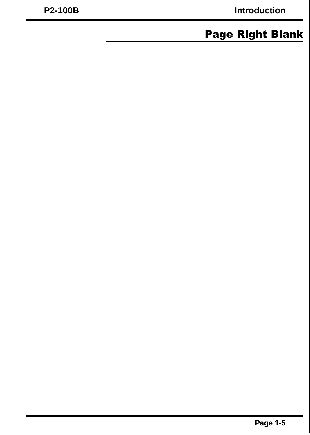# Page Right Blank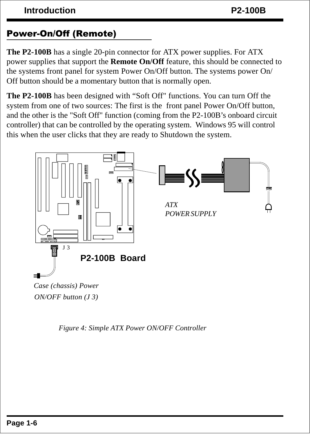# Power-On/Off (Remote)

**The P2-100B** has a single 20-pin connector for ATX power supplies. For ATX power supplies that support the **Remote On/Off** feature, this should be connected to the systems front panel for system Power On/Off button. The systems power On/ Off button should be a momentary button that is normally open.

**The P2-100B** has been designed with "Soft Off" functions. You can turn Off the system from one of two sources: The first is the front panel Power On/Off button, and the other is the "Soft Off" function (coming from the P2-100B's onboard circuit controller) that can be controlled by the operating system. Windows 95 will control this when the user clicks that they are ready to Shutdown the system.



*ON/OFF button (J 3)*

*Figure 4: Simple ATX Power ON/OFF Controller*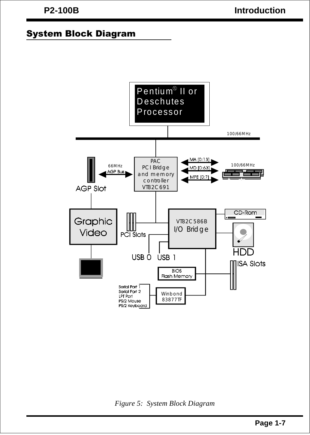#### System Block Diagram



*Figure 5: System Block Diagram*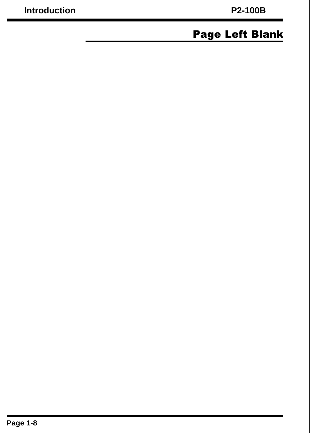# Page Left Blank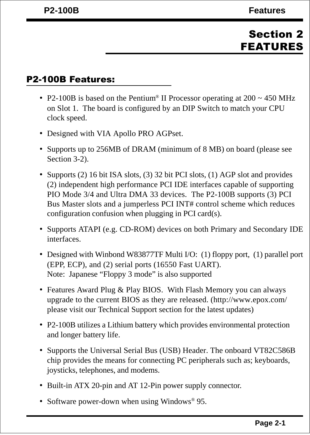# Section 2 FEATURES

#### P2-100B Features:

- P2-100B is based on the Pentium<sup>®</sup> II Processor operating at 200 ~ 450 MHz on Slot 1. The board is configured by an DIP Switch to match your CPU clock speed.
- Designed with VIA Apollo PRO AGPset.
- Supports up to 256MB of DRAM (minimum of 8 MB) on board (please see Section 3-2).
- Supports (2) 16 bit ISA slots, (3) 32 bit PCI slots, (1) AGP slot and provides (2) independent high performance PCI IDE interfaces capable of supporting PIO Mode 3/4 and Ultra DMA 33 devices. The P2-100B supports (3) PCI Bus Master slots and a jumperless PCI INT# control scheme which reduces configuration confusion when plugging in PCI card(s).
- Supports ATAPI (e.g. CD-ROM) devices on both Primary and Secondary IDE interfaces.
- Designed with Winbond W83877TF Multi I/O: (1) floppy port, (1) parallel port (EPP, ECP), and (2) serial ports (16550 Fast UART). Note: Japanese "Floppy 3 mode" is also supported
- Features Award Plug & Play BIOS. With Flash Memory you can always upgrade to the current BIOS as they are released. (http://www.epox.com/ please visit our Technical Support section for the latest updates)
- P2-100B utilizes a Lithium battery which provides environmental protection and longer battery life.
- Supports the Universal Serial Bus (USB) Header. The onboard VT82C586B chip provides the means for connecting PC peripherals such as; keyboards, joysticks, telephones, and modems.
- Built-in ATX 20-pin and AT 12-Pin power supply connector.
- Software power-down when using Windows<sup>®</sup> 95.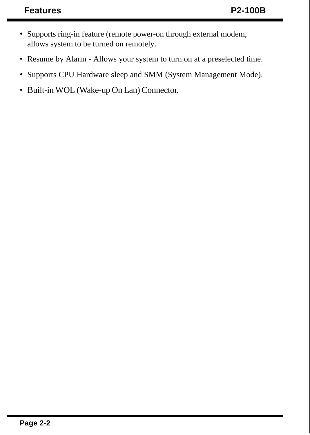- Supports ring-in feature (remote power-on through external modem, allows system to be turned on remotely.
- Resume by Alarm Allows your system to turn on at a preselected time.
- Supports CPU Hardware sleep and SMM (System Management Mode).
- Built-in WOL (Wake-up On Lan) Connector.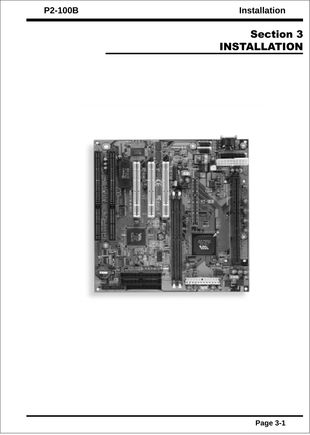# Section 3 INSTALLATION

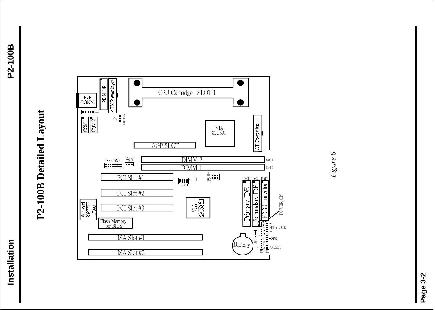

*Figure 6*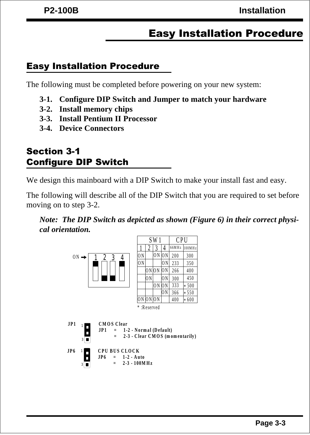# Easy Installation Procedure

#### Easy Installation Procedure

The following must be completed before powering on your new system:

- **3-1. Configure DIP Switch and Jumper to match your hardware**
- **3-2. Install memory chips**
- **3-3. Install Pentium II Processor**
- **3-4. Device Connectors**

#### Section 3-1 Configure DIP Switch

We design this mainboard with a DIP Switch to make your install fast and easy.

The following will describe all of the DIP Switch that you are required to set before moving on to step 3-2.

*Note: The DIP Switch as depicted as shown (Figure 6) in their correct physical orientation.*

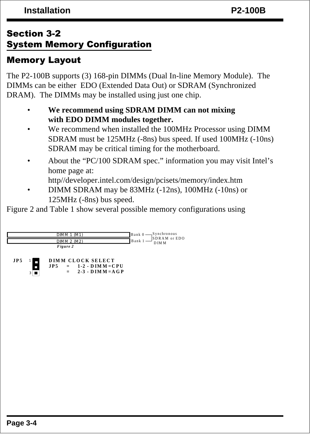#### Section 3-2 System Memory Configuration

#### Memory Layout

The P2-100B supports (3) 168-pin DIMMs (Dual In-line Memory Module). The DIMMs can be either EDO (Extended Data Out) or SDRAM (Synchronized DRAM). The DIMMs may be installed using just one chip.

- **We recommend using SDRAM DIMM can not mixing with EDO DIMM modules together.**
- We recommend when installed the 100MHz Processor using DIMM SDRAM must be 125MHz (-8ns) bus speed. If used 100MHz (-10ns) SDRAM may be critical timing for the motherboard.
- About the "PC/100 SDRAM spec." information you may visit Intel's home page at:

http//developer.intel.com/design/pcisets/memory/index.htm

• DIMM SDRAM may be 83MHz (-12ns), 100MHz (-10ns) or 125MHz (-8ns) bus speed.

Figure 2 and Table 1 show several possible memory configurations using

|                                 | M 1<br>DIMM<br>DIMM 2 (M2)<br>Figure 2                                  | Synchronous<br>SDRAM or EDO<br>$B$ ank 0 -<br>Bank '<br>D IM M |
|---------------------------------|-------------------------------------------------------------------------|----------------------------------------------------------------|
| JP5<br>$\overline{\phantom{a}}$ | DIMM CLOCK SELECT<br>$= 1-2 - DIMM = CPU$<br>JP 5<br>$2-3 - DIMM = AGP$ |                                                                |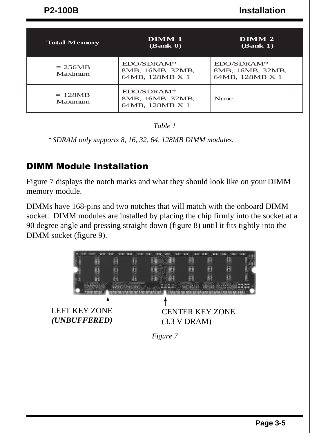| <b>Total Memory</b>  | DIMM 1<br>(Bank 0)                                | DIMM <sub>2</sub><br>(Bank 1)                     |
|----------------------|---------------------------------------------------|---------------------------------------------------|
| $= 256MB$<br>Maximum | EDO/SDRAM*<br>8MB, 16MB, 32MB,<br>64MB, 128MB X 1 | EDO/SDRAM*<br>8MB, 16MB, 32MB,<br>64MB, 128MB X 1 |
| $= 128MB$<br>Maximum | EDO/SDRAM*<br>8MB, 16MB, 32MB,<br>64MB, 128MB X 1 | None                                              |

*Table 1*

 *\* SDRAM only supports 8, 16, 32, 64, 128MB DIMM modules.*

#### DIMM Module Installation

Figure 7 displays the notch marks and what they should look like on your DIMM memory module.

DIMMs have 168-pins and two notches that will match with the onboard DIMM socket. DIMM modules are installed by placing the chip firmly into the socket at a 90 degree angle and pressing straight down (figure 8) until it fits tightly into the DIMM socket (figure 9).



*Figure 7*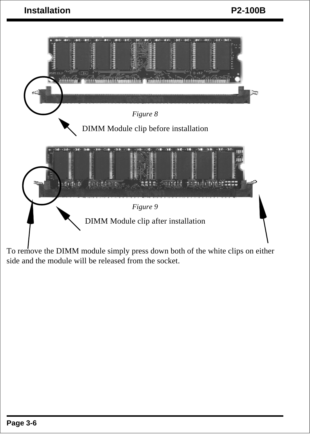

To remove the DIMM module simply press down both of the white clips on either side and the module will be released from the socket.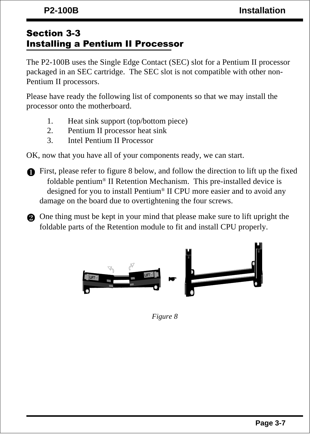#### Section 3-3 Installing a Pentium II Processor

The P2-100B uses the Single Edge Contact (SEC) slot for a Pentium II processor packaged in an SEC cartridge. The SEC slot is not compatible with other non-Pentium II processors.

Please have ready the following list of components so that we may install the processor onto the motherboard.

- 1. Heat sink support (top/bottom piece)
- 2. Pentium II processor heat sink
- 3. Intel Pentium II Processor

OK, now that you have all of your components ready, we can start.

- First, please refer to figure 8 below, and follow the direction to lift up the fixed foldable pentium® II Retention Mechanism. This pre-installed device is designed for you to install Pentium® II CPU more easier and to avoid any damage on the board due to overtightening the four screws.
- One thing must be kept in your mind that please make sure to lift upright the foldable parts of the Retention module to fit and install CPU properly.



*Figure 8*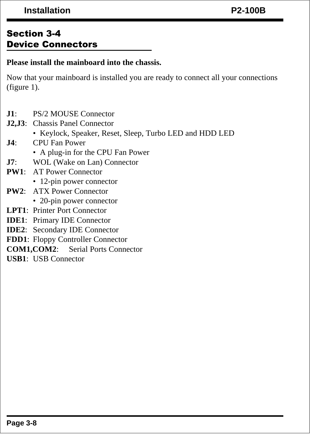#### Section 3-4 Device Connectors

#### **Please install the mainboard into the chassis.**

Now that your mainboard is installed you are ready to connect all your connections (figure 1).

- **J1**: PS/2 MOUSE Connector
- **J2,J3**: Chassis Panel Connector
	- Keylock, Speaker, Reset, Sleep, Turbo LED and HDD LED
- **J4**: CPU Fan Power
	- A plug-in for the CPU Fan Power
- **J7**: WOL (Wake on Lan) Connector
- **PW1**: AT Power Connector
	- 12-pin power connector
- **PW2**: ATX Power Connector
	- 20-pin power connector
- **LPT1**: Printer Port Connector
- **IDE1**: Primary IDE Connector
- **IDE2**: Secondary IDE Connector
- **FDD1**: Floppy Controller Connector
- **COM1,COM2**: Serial Ports Connector
- **USB1**: USB Connector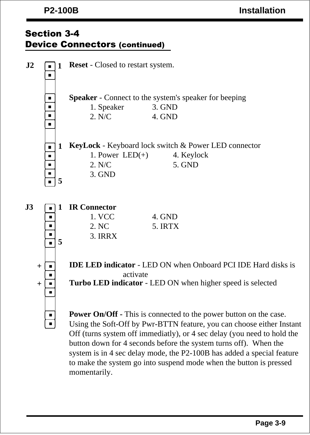#### Section 3-4 Device Connectors (continued)

momentarily.



system is in 4 sec delay mode, the P2-100B has added a special feature to make the system go into suspend mode when the button is pressed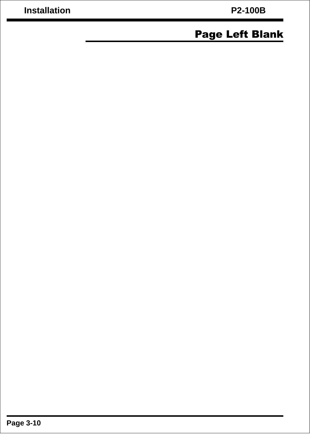# Page Left Blank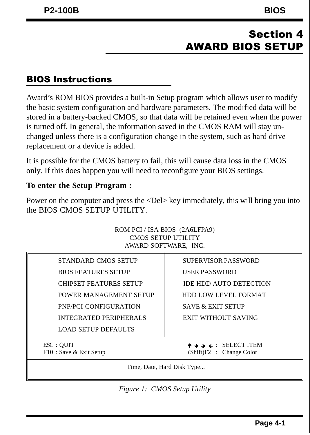# Section 4 AWARD BIOS SETUP

#### BIOS Instructions

Award's ROM BIOS provides a built-in Setup program which allows user to modify the basic system configuration and hardware parameters. The modified data will be stored in a battery-backed CMOS, so that data will be retained even when the power is turned off. In general, the information saved in the CMOS RAM will stay unchanged unless there is a configuration change in the system, such as hard drive replacement or a device is added.

It is possible for the CMOS battery to fail, this will cause data loss in the CMOS only. If this does happen you will need to reconfigure your BIOS settings.

#### **To enter the Setup Program :**

Power on the computer and press the <Del> key immediately, this will bring you into the BIOS CMOS SETUP UTILITY.

 $POM$   $PCI$  / IS A  $BIOS$  (2A6LFPA0)

| $\text{NOM}$ I CI / ISA DIOS (ZAULITAZ)<br><b>CMOS SETUP UTILITY</b><br>AWARD SOFTWARE, INC.                                      |                               |  |  |  |  |  |
|-----------------------------------------------------------------------------------------------------------------------------------|-------------------------------|--|--|--|--|--|
| STANDARD CMOS SETUP                                                                                                               | SUPERVISOR PASSWORD           |  |  |  |  |  |
| <b>BIOS FEATURES SETUP</b>                                                                                                        | <b>USER PASSWORD</b>          |  |  |  |  |  |
| <b>CHIPSET FEATURES SETUP</b>                                                                                                     | <b>IDE HDD AUTO DETECTION</b> |  |  |  |  |  |
| POWER MANAGEMENT SETUP                                                                                                            | <b>HDD LOW LEVEL FORMAT</b>   |  |  |  |  |  |
| PNP/PCI CONFIGURATION                                                                                                             | <b>SAVE &amp; EXIT SETUP</b>  |  |  |  |  |  |
| INTEGRATED PERIPHERALS                                                                                                            | EXIT WITHOUT SAVING           |  |  |  |  |  |
| <b>LOAD SETUP DEFAULTS</b>                                                                                                        |                               |  |  |  |  |  |
| ESC : OUIT<br>$\uparrow \downarrow \rightarrow \leftarrow$ : SELECT ITEM<br>$(Shift)F2$ : Change Color<br>F10 : Save & Exit Setup |                               |  |  |  |  |  |
| Time, Date, Hard Disk Type                                                                                                        |                               |  |  |  |  |  |

*Figure 1: CMOS Setup Utility*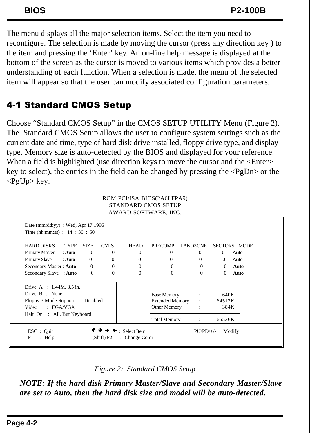The menu displays all the major selection items. Select the item you need to reconfigure. The selection is made by moving the cursor (press any direction key ) to the item and pressing the 'Enter' key. An on-line help message is displayed at the bottom of the screen as the cursor is moved to various items which provides a better understanding of each function. When a selection is made, the menu of the selected item will appear so that the user can modify associated configuration parameters.

## 4-1 Standard CMOS Setup

Choose "Standard CMOS Setup" in the CMOS SETUP UTILITY Menu (Figure 2). The Standard CMOS Setup allows the user to configure system settings such as the current date and time, type of hard disk drive installed, floppy drive type, and display type. Memory size is auto-detected by the BIOS and displayed for your reference. When a field is highlighted (use direction keys to move the cursor and the  $\leq$ Enter $>$ key to select), the entries in the field can be changed by pressing the <PgDn> or the  $<$ PgUp $>$  key.

> ROM PCI/ISA BIOS(2A6LFPA9) STANDARD CMOS SETUP AWARD SOFTWARE, INC.

| HARD DISKS                                                                                                              | <b>TYPE</b> | <b>SIZE</b> | <b>CYLS</b> | <b>HEAD</b> | <b>PRECOMP</b>                                                                      | LANDZONE                               |                                  | SECTORS MODE |
|-------------------------------------------------------------------------------------------------------------------------|-------------|-------------|-------------|-------------|-------------------------------------------------------------------------------------|----------------------------------------|----------------------------------|--------------|
| Primary Master                                                                                                          | : Auto      | $\Omega$    | $\Omega$    | $\Omega$    | $\Omega$                                                                            | $\Omega$                               | $\Omega$                         | Auto         |
| Primary Slave                                                                                                           | : Auto      | $\Omega$    | $\Omega$    | $\Omega$    | $\Omega$                                                                            | $\Omega$                               | $\Omega$                         | Auto         |
| Secondary Master: Auto                                                                                                  |             | $\Omega$    | $\Omega$    | $\Omega$    | $\Omega$                                                                            | $\Omega$                               | $\Omega$                         | Auto         |
| Secondary Slave : Auto                                                                                                  |             | $\Omega$    | $\Omega$    | $\Omega$    | $\Omega$                                                                            | $\Omega$                               | $\Omega$                         | Auto         |
| Drive $A : 1.44M, 3.5$ in.<br>Drive B: None<br>Floppy 3 Mode Support : Disabled<br>Video<br>Halt On : All, But Keyboard | EGA/VGA     |             |             |             | <b>Base Memory</b><br><b>Extended Memory</b><br>Other Memory<br><b>Total Memory</b> | $\ddot{\cdot}$<br>$\ddot{\phantom{a}}$ | 640K<br>64512K<br>384K<br>65536K |              |

*Figure 2: Standard CMOS Setup*

*NOTE: If the hard disk Primary Master/Slave and Secondary Master/Slave are set to Auto, then the hard disk size and model will be auto-detected.*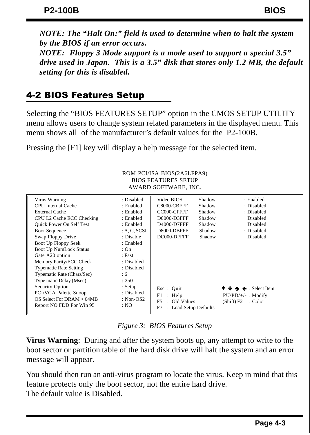*NOTE: Floppy 3 Mode support is a mode used to support a special 3.5" drive used in Japan. This is a 3.5" disk that stores only 1.2 MB, the default setting for this is disabled.*

### 4-2 BIOS Features Setup

Selecting the "BIOS FEATURES SETUP" option in the CMOS SETUP UTILITY menu allows users to change system related parameters in the displayed menu. This menu shows all of the manufacturer's default values for the P2-100B.

Pressing the [F1] key will display a help message for the selected item.

| Virus Warning<br><b>CPU</b> Internal Cache<br>External Cache<br>CPU L2 Cache ECC Checking<br><b>Ouick Power On Self Test</b><br><b>Boot Sequence</b><br>Swap Floppy Drive<br>Boot Up Floppy Seek<br><b>Boot Up NumLock Status</b><br>Gate A20 option<br>Memory Parity/ECC Check<br><b>Typematic Rate Setting</b><br>Typematic Rate (Chars/Sec)<br>Type matic Delay (Msec) | : Disabled<br>: Enabled<br>: Enabled<br>: Enabled<br>: Enabled<br>: A, C, SCSI<br>: Disable<br>: Enabled<br>: On<br>: Fast<br>: Disabled<br>: Disabled<br>: 6<br>: 250 | Video BIOS<br>C8000-CBFFF<br>CC000-CFFFF<br>D0000-D3FFF<br>D4000-D7FFF<br>D8000-DBFFF<br>DC000-DFFFF | Shadow<br>Shadow<br>Shadow<br>Shadow<br>Shadow<br>Shadow<br>Shadow | : Enabled<br>: Disabled<br>: Disabled<br>: Disabled<br>: Disabled<br>: Disabled<br>: Disabled             |
|---------------------------------------------------------------------------------------------------------------------------------------------------------------------------------------------------------------------------------------------------------------------------------------------------------------------------------------------------------------------------|------------------------------------------------------------------------------------------------------------------------------------------------------------------------|------------------------------------------------------------------------------------------------------|--------------------------------------------------------------------|-----------------------------------------------------------------------------------------------------------|
| Security Option<br>PCI/VGA Palette Snoop<br>$OS$ Select For DRAM $>64MB$<br>Report NO FDD For Win 95                                                                                                                                                                                                                                                                      | $:$ Setup<br>: Disabled<br>: Non- $OS2$<br>: NO                                                                                                                        | Esc: Ouit<br>F1 : Help<br>: Old Values<br>F <sub>5</sub><br>F7<br>: Load Setup Defaults              |                                                                    | $\uparrow \uparrow \rightarrow \leftarrow$ : Select Item<br>$PU/PD/+/-$ : Modify<br>(Shift) F2<br>: Color |

ROM PCI/ISA BIOS(2A6LFPA9) BIOS FEATURES SETUP AWARD SOFTWARE, INC.

*Figure 3: BIOS Features Setup*

**Virus Warning**:During and after the system boots up, any attempt to write to the boot sector or partition table of the hard disk drive will halt the system and an error message will appear.

You should then run an anti-virus program to locate the virus. Keep in mind that this feature protects only the boot sector, not the entire hard drive. The default value is Disabled.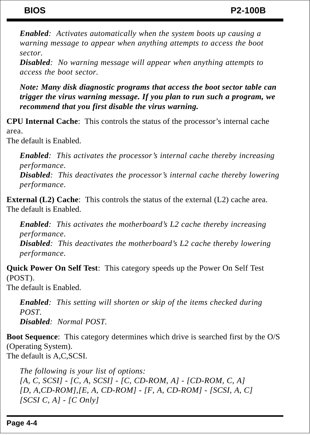*Enabled: Activates automatically when the system boots up causing a warning message to appear when anything attempts to access the boot sector.*

*Disabled: No warning message will appear when anything attempts to access the boot sector.*

*Note: Many disk diagnostic programs that access the boot sector table can trigger the virus warning message. If you plan to run such a program, we recommend that you first disable the virus warning.*

**CPU Internal Cache**: This controls the status of the processor's internal cache area.

The default is Enabled.

*Enabled: This activates the processor's internal cache thereby increasing performance. Disabled: This deactivates the processor's internal cache thereby lowering performance.*

**External (L2) Cache:** This controls the status of the external (L2) cache area. The default is Enabled.

*Enabled: This activates the motherboard's L2 cache thereby increasing performance. Disabled: This deactivates the motherboard's L2 cache thereby lowering performance.*

**Quick Power On Self Test**: This category speeds up the Power On Self Test (POST).

The default is Enabled.

*Enabled: This setting will shorten or skip of the items checked during POST. Disabled: Normal POST.*

**Boot Sequence**: This category determines which drive is searched first by the O/S (Operating System). The default is A,C,SCSI.

*The following is your list of options: [A, C, SCSI] - [C, A, SCSI] - [C, CD-ROM, A] - [CD-ROM, C, A] [D, A,CD-ROM],[E, A, CD-ROM] - [F, A, CD-ROM] - [SCSI, A, C] [SCSI C, A] - [C Only]*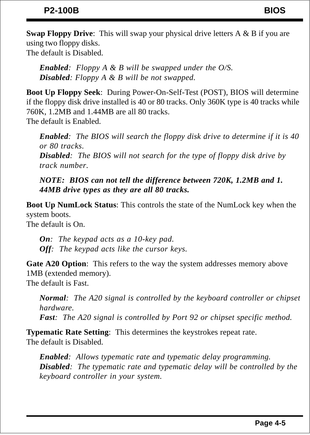**Swap Floppy Drive**: This will swap your physical drive letters A & B if you are using two floppy disks.

The default is Disabled.

*Enabled: Floppy A & B will be swapped under the O/S. Disabled: Floppy A & B will be not swapped.*

**Boot Up Floppy Seek**: During Power-On-Self-Test (POST), BIOS will determine if the floppy disk drive installed is 40 or 80 tracks. Only 360K type is 40 tracks while 760K, 1.2MB and 1.44MB are all 80 tracks.

The default is Enabled.

*Enabled: The BIOS will search the floppy disk drive to determine if it is 40 or 80 tracks. Disabled: The BIOS will not search for the type of floppy disk drive by track number.*

*NOTE: BIOS can not tell the difference between 720K, 1.2MB and 1. 44MB drive types as they are all 80 tracks.*

**Boot Up NumLock Status**: This controls the state of the NumLock key when the system boots.

The default is On.

*On: The keypad acts as a 10-key pad. Off: The keypad acts like the cursor keys.*

Gate A20 Option: This refers to the way the system addresses memory above 1MB (extended memory). The default is Fast.

*Normal: The A20 signal is controlled by the keyboard controller or chipset hardware. Fast: The A20 signal is controlled by Port 92 or chipset specific method.*

**Typematic Rate Setting**: This determines the keystrokes repeat rate.

The default is Disabled.

*Enabled: Allows typematic rate and typematic delay programming. Disabled: The typematic rate and typematic delay will be controlled by the keyboard controller in your system.*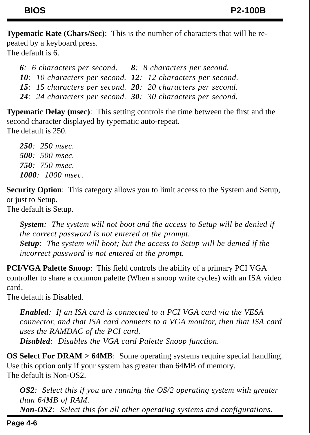**Typematic Rate (Chars/Sec)**: This is the number of characters that will be repeated by a keyboard press. The default is 6.

*: 6 characters per second. 8: 8 characters per second. : 10 characters per second. 12: 12 characters per second. : 15 characters per second. 20: 20 characters per second. : 24 characters per second. 30: 30 characters per second.*

**Typematic Delay (msec)**: This setting controls the time between the first and the second character displayed by typematic auto-repeat. The default is 250.

*: 250 msec. : 500 msec. : 750 msec. : 1000 msec.*

**Security Option**: This category allows you to limit access to the System and Setup, or just to Setup.

The default is Setup.

*System: The system will not boot and the access to Setup will be denied if the correct password is not entered at the prompt. Setup: The system will boot; but the access to Setup will be denied if the incorrect password is not entered at the prompt.*

**PCI/VGA Palette Snoop**: This field controls the ability of a primary PCI VGA controller to share a common palette (When a snoop write cycles) with an ISA video card.

The default is Disabled.

*Enabled: If an ISA card is connected to a PCI VGA card via the VESA connector, and that ISA card connects to a VGA monitor, then that ISA card uses the RAMDAC of the PCI card. Disabled: Disables the VGA card Palette Snoop function.*

**OS Select For DRAM > 64MB**: Some operating systems require special handling. Use this option only if your system has greater than 64MB of memory. The default is Non-OS2.

*OS2: Select this if you are running the OS/2 operating system with greater than 64MB of RAM. Non-OS2: Select this for all other operating systems and configurations.*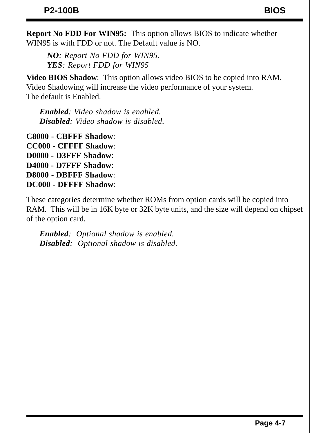**Report No FDD For WIN95:** This option allows BIOS to indicate whether WIN95 is with FDD or not. The Default value is NO.

*NO: Report No FDD for WIN95. YES: Report FDD for WIN95*

**Video BIOS Shadow**: This option allows video BIOS to be copied into RAM. Video Shadowing will increase the video performance of your system. The default is Enabled.

*Enabled: Video shadow is enabled. Disabled: Video shadow is disabled.*

**C8000 - CBFFF Shadow**: **CC000 - CFFFF Shadow**: **D0000 - D3FFF Shadow**: **D4000 - D7FFF Shadow**: **D8000 - DBFFF Shadow**: **DC000 - DFFFF Shadow**:

These categories determine whether ROMs from option cards will be copied into RAM. This will be in 16K byte or 32K byte units, and the size will depend on chipset of the option card.

*Enabled: Optional shadow is enabled. Disabled: Optional shadow is disabled.*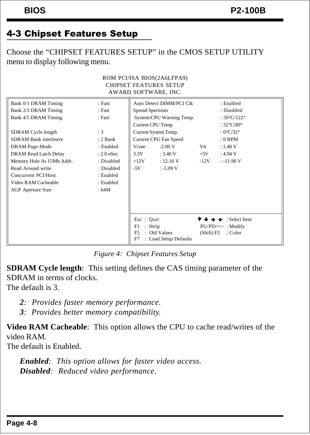#### 4-3 Chipset Features Setup

Choose the "CHIPSET FEATURES SETUP" in the CMOS SETUP UTILITY menu to display following menu.

#### ROM PCI/ISA BIOS(2A6LFPA9) CHIPSET FEATURES SETUP AWARD SOFTWARE, INC.

| Bank 0/1 DRAM Timing         | : Fast       |                      | Auto Detect DIMM/PCI Clk |            | : Enabled                      |
|------------------------------|--------------|----------------------|--------------------------|------------|--------------------------------|
| Bank 2/3 DRAM Timing         | : Fast       | Spread Spectrum      |                          |            | : Diasbled                     |
| Bank 4/5 DRAM Timing         | : Fast       |                      | System/CPU Warning Temp. |            | : $50^{\circ}$ C/122°          |
|                              |              | Current CPU Temp.    |                          |            | : $32^{\circ}$ C/89 $^{\circ}$ |
| SDRAM Cycle length           | :3           | Current System Temp. |                          |            | : $0^{\circ}$ C/32 $^{\circ}$  |
| <b>SDRAM Bank interleave</b> | $: 2$ Bank   |                      | Current CPU Fan Speed    |            | $: 0$ RPM                      |
| DRAM Page-Mode               | : Enabled    | Vcore                | :2.00V                   | Vtt        | : 1.48 V                       |
| DRAM Read Latch Delay        | $: 2.0$ nSec | 3.3V                 | : 3.40 V                 | $+5V$      | : 4.94 V                       |
| Memory Hole At 15Mb Addr.    | : Disabled   | $+12V$               | : 12.16 V                | $-12V$     | $: -11.98 V$                   |
| Read Around write            | : Disabled   | $-5V$                | $: -5.09 V$              |            |                                |
| Concurrent PCI/Host          | : Enabled    |                      |                          |            |                                |
| Video RAM Cacheable          | : Enabled    |                      |                          |            |                                |
| <b>AGP</b> Aperture Size     | :64M         |                      |                          |            |                                |
|                              |              |                      |                          |            |                                |
|                              |              |                      |                          |            |                                |
|                              |              |                      |                          |            |                                |
|                              |              | Esc: Ouit            |                          |            | : Select Item                  |
|                              |              | : Help<br>F1         |                          |            | $PU/PD/+/-$ : Modify           |
|                              |              | F <sub>5</sub>       | Old Values               | (Shift) F2 | : Color                        |
|                              |              | F7                   | : Load Setup Defaults    |            |                                |

*Figure 4: Chipset Features Setup*

**SDRAM Cycle length**: This setting defines the CAS timing parameter of the SDRAM in terms of clocks.

The default is 3.

- *2: Provides faster memory performance.*
- *3: Provides better memory compatibility.*

**Video RAM Cacheable**: This option allows the CPU to cache read/writes of the video RAM.

The default is Enabled.

*Enabled: This option allows for faster video access. Disabled: Reduced video performance.*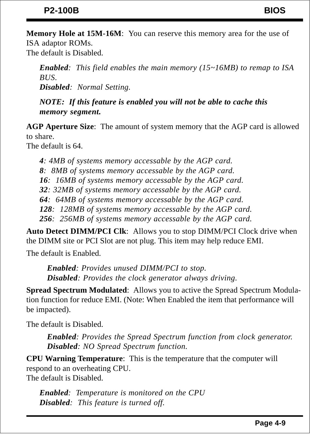**Memory Hole at 15M-16M**: You can reserve this memory area for the use of ISA adaptor ROMs.

The default is Disabled.

*Enabled: This field enables the main memory (15~16MB) to remap to ISA BUS. Disabled: Normal Setting.*

*NOTE: If this feature is enabled you will not be able to cache this memory segment.*

**AGP Aperture Size**: The amount of system memory that the AGP card is allowed to share.

The default is 64.

*: 4MB of systems memory accessable by the AGP card. : 8MB of systems memory accessable by the AGP card. : 16MB of systems memory accessable by the AGP card. : 32MB of systems memory accessable by the AGP card. : 64MB of systems memory accessable by the AGP card. : 128MB of systems memory accessable by the AGP card. : 256MB of systems memory accessable by the AGP card.*

**Auto Detect DIMM/PCI Clk**: Allows you to stop DIMM/PCI Clock drive when the DIMM site or PCI Slot are not plug. This item may help reduce EMI.

The default is Enabled.

*Enabled: Provides unused DIMM/PCI to stop. Disabled: Provides the clock generator always driving.*

**Spread Spectrum Modulated**: Allows you to active the Spread Spectrum Modulation function for reduce EMI. (Note: When Enabled the item that performance will be impacted).

The default is Disabled.

*Enabled: Provides the Spread Spectrum function from clock generator. Disabled: NO Spread Spectrum function.*

**CPU Warning Temperature**: This is the temperature that the computer will respond to an overheating CPU. The default is Disabled.

*Enabled: Temperature is monitored on the CPU Disabled: This feature is turned off.*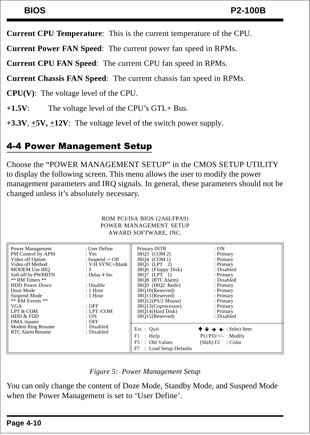**Current CPU Temperature**: This is the current temperature of the CPU.

**Current Power FAN Speed**: The current power fan speed in RPMs.

**Current CPU FAN Speed**: The current CPU fan speed in RPMs.

**Current Chassis FAN Speed**: The current chassis fan speed in RPMs.

**CPU(V)**: The voltage level of the CPU.

**+1.5V**: The voltage level of the CPU's GTL+ Bus.

 $+3.3V, \pm 5V, \pm 12V$ : The voltage level of the switch power supply.

#### 4-4 Power Management Setup

Choose the "POWER MANAGEMENT SETUP" in the CMOS SETUP UTILITY to display the following screen. This menu allows the user to modify the power management parameters and IRQ signals. In general, these parameters should not be changed unless it's absolutely necessary.

| <b>Power Management</b><br>PM Control by APM<br>Video off Option<br>Video off Method<br><b>MODEM Use IRO</b><br>Soft-off by PWRBTN<br>$**$ RM Timers $**$<br><b>HDD</b> Power Down<br>Doze Mode<br>Suspend Mode<br>** RM Events **<br>VGA<br>LPT & COM | : User Define<br>: Yes<br>: Suspend $\rightarrow$ Off<br>: V/H SYNC+Blank<br>:3<br>: Delay 4 Sec<br>: Disable<br>$: 1$ Hour<br>$: 1$ Hour<br>$:$ OFF<br>: LPT $/COM$ | Primary INTR<br>$IRO3$ (COM 2)<br>$IRO4$ (COM 1)<br>$IRO5$ (LPT 2)<br>IRQ6 (Floppy Disk)<br>$IRO7$ (LPT 1)<br>IRO8 (RTC Alarm)<br>IRO9 (IRQ2 Redir)<br>IRO10(Reserved)<br>IRO11(Reserved)<br>$IRO12(PS/2 \text{ Mouse})$<br>IRQ13(Coprocessor)<br>IRO14(Hard Disk) | :ON<br>: Primary<br>: Primary<br>: Primary<br>: Disabled<br>: Primary<br>: Disabled<br>: Primary<br>: Primary<br>: Primary<br>: Primary<br>: Primary<br>: Primary |
|--------------------------------------------------------------------------------------------------------------------------------------------------------------------------------------------------------------------------------------------------------|----------------------------------------------------------------------------------------------------------------------------------------------------------------------|--------------------------------------------------------------------------------------------------------------------------------------------------------------------------------------------------------------------------------------------------------------------|-------------------------------------------------------------------------------------------------------------------------------------------------------------------|
| HDD & FDD                                                                                                                                                                                                                                              | : ON                                                                                                                                                                 | IRO15(Reserved)                                                                                                                                                                                                                                                    | : Disabled                                                                                                                                                        |
| DMA /master<br>Modem Ring Resume<br>RTC Alarm Resume                                                                                                                                                                                                   | $:$ OFF<br>: Disabled<br>: Disabled                                                                                                                                  | Esc: Ouit<br>$F1$ : Help<br>: Old Values<br>F5.<br>F7<br>: Load Setup Defaults                                                                                                                                                                                     | $\uparrow \uparrow \rightarrow \leftarrow$ : Select Item<br>$PU/PD/+/-$ : Modify<br>(Shift) F2 : Color                                                            |

#### ROM PCI/ISA BIOS (2A6LFPA9) POWER MANAGEMENT SETUP AWARD SOFTWARE, INC.

#### *Figure 5: Power Management Setup*

You can only change the content of Doze Mode, Standby Mode, and Suspend Mode when the Power Management is set to 'User Define'.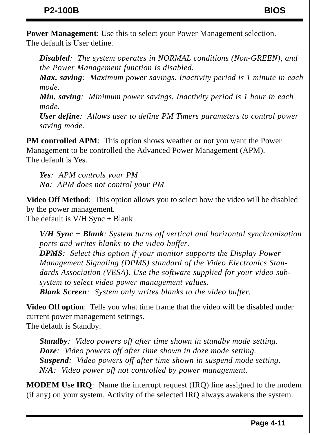**Power Management**: Use this to select your Power Management selection. The default is User define.

*Disabled: The system operates in NORMAL conditions (Non-GREEN), and the Power Management function is disabled. Max. saving: Maximum power savings. Inactivity period is 1 minute in each mode. Min. saving: Minimum power savings. Inactivity period is 1 hour in each mode. User define: Allows user to define PM Timers parameters to control power*

*saving mode.*

**PM controlled APM**: This option shows weather or not you want the Power Management to be controlled the Advanced Power Management (APM). The default is Yes.

*Yes: APM controls your PM No: APM does not control your PM*

**Video Off Method**: This option allows you to select how the video will be disabled by the power management. The default is  $V/H$  Sync + Blank

*V/H Sync + Blank: System turns off vertical and horizontal synchronization ports and writes blanks to the video buffer. DPMS: Select this option if your monitor supports the Display Power Management Signaling (DPMS) standard of the Video Electronics Standards Association (VESA). Use the software supplied for your video subsystem to select video power management values. Blank Screen: System only writes blanks to the video buffer.*

**Video Off option**: Tells you what time frame that the video will be disabled under current power management settings.

The default is Standby.

*Standby: Video powers off after time shown in standby mode setting. Doze: Video powers off after time shown in doze mode setting. Suspend: Video powers off after time shown in suspend mode setting. N/A: Video power off not controlled by power management.*

**MODEM Use IRQ**: Name the interrupt request (IRQ) line assigned to the modem (if any) on your system. Activity of the selected IRQ always awakens the system.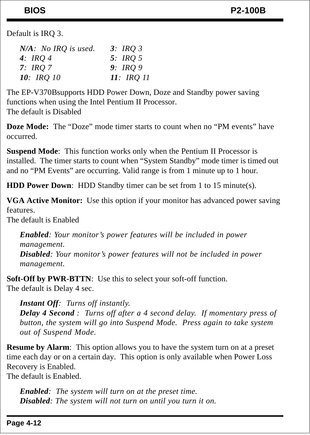Default is IRQ 3.

| $N/A$ : No IRQ is used. | 3: IRQ3      |
|-------------------------|--------------|
| 4: $IRO.4$              | 5: $IRO$ 5   |
| 7: $IRO$ 7              | 9: IRO.9     |
| 10: IRQ 10              | $11:$ IRQ 11 |

The EP-V370Bsupports HDD Power Down, Doze and Standby power saving functions when using the Intel Pentium II Processor. The default is Disabled

**Doze Mode:** The "Doze" mode timer starts to count when no "PM events" have occurred.

**Suspend Mode**: This function works only when the Pentium II Processor is installed. The timer starts to count when "System Standby" mode timer is timed out and no "PM Events" are occurring. Valid range is from 1 minute up to 1 hour.

**HDD Power Down**: HDD Standby timer can be set from 1 to 15 minute(s).

**VGA Active Monitor:** Use this option if your monitor has advanced power saving features.

The default is Enabled

*Enabled: Your monitor's power features will be included in power management. Disabled: Your monitor's power features will not be included in power management.*

**Soft-Off by PWR-BTTN**: Use this to select your soft-off function. The default is Delay 4 sec.

*Instant Off: Turns off instantly.*

*Delay 4 Second : Turns off after a 4 second delay. If momentary press of button, the system will go into Suspend Mode. Press again to take system out of Suspend Mode.*

**Resume by Alarm:** This option allows you to have the system turn on at a preset time each day or on a certain day. This option is only available when Power Loss Recovery is Enabled.

The default is Enabled.

*Enabled: The system will turn on at the preset time. Disabled: The system will not turn on until you turn it on.*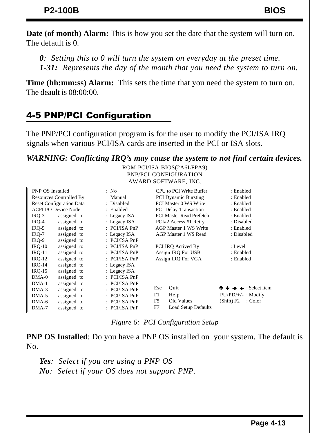**Date (of month) Alarm:** This is how you set the date that the system will turn on. The default is 0.

*0: Setting this to 0 will turn the system on everyday at the preset time. 1-31: Represents the day of the month that you need the system to turn on.*

**Time (hh:mm:ss) Alarm:** This sets the time that you need the system to turn on. The deault is 08:00:00.

#### 4-5 PNP/PCI Configuration

The PNP/PCI configuration program is for the user to modify the PCI/ISA IRQ signals when various PCI/ISA cards are inserted in the PCI or ISA slots.

*WARNING: Conflicting IRQ's may cause the system to not find certain devices.*

ROM PCI/ISA BIOS(2A6LFPA9) PNP/PCI CONFIGURATION AWARD SOFTWARE, INC.

| <b>PNP OS Installed</b>         | : No            | CPU to PCI Write Buffer         | : Enabled                                                |
|---------------------------------|-----------------|---------------------------------|----------------------------------------------------------|
| Resources Controlled By         | : Manual        | <b>PCI Dynamic Bursting</b>     | : Enabled                                                |
| <b>Reset Configuration Data</b> | : Disabled      | PCI Master 0 WS Write           | : Enabled                                                |
| <b>ACPI I/O Device Node</b>     | : Enabled       | <b>PCI Delay Transaction</b>    | : Enabled                                                |
| $IRO-3$<br>assigned to          | : Legacy ISA    | <b>PCI Master Read Prefetch</b> | : Enabled                                                |
| $IRO-4$<br>assigned to          | $:$ Legacy ISA  | PCI#2 Access #1 Retry           | : Disabled                                               |
| $IRO-5$<br>assigned to          | $: PCUISA$ PnP  | AGP Master 1 WS Write           | : Enabled                                                |
| $IRO-7$<br>assigned to          | : Legacy ISA    | AGP Master 1 WS Read            | : Disabled                                               |
| $IRQ-9$<br>assigned to          | $: PCI/ISA$ PnP |                                 |                                                          |
| $IRO-10$<br>assigned to         | $: PCI/ISA$ PnP | PCI IRO Actived By              | : Level                                                  |
| $IRO-11$<br>assigned to         | : PCI/ISA PnP   | Assign IRO For USB              | : Enabled                                                |
| $IRO-12$<br>assigned to         | $: PCI/ISA$ PnP | Assign IRO For VGA              | : Enabled                                                |
| $IRO-14$<br>assigned to         | : Legacy ISA    |                                 |                                                          |
| $IRO-15$<br>assigned to         | $:$ Legacy ISA  |                                 |                                                          |
| $DMA-0$<br>assigned to          | $: PCI/ISA$ PnP |                                 |                                                          |
| assigned to<br>$DMA-1$          | $: PCI/ISA$ PnP |                                 |                                                          |
| $DMA-3$<br>assigned to          | $: PCI/ISA$ PnP | Esc: Quit                       | $\uparrow \uparrow \rightarrow \leftarrow$ : Select Item |
| $DMA-5$<br>assigned to          | : PCI/ISA PnP   | $\therefore$ Help<br>F1         | $PU/PD/+/-$ : Modify                                     |
| DMA-6<br>assigned to            | : PCI/ISA PnP   | : Old Values<br>F5              | (Shift) F2<br>: Color                                    |
| $DMA-7$<br>assigned to          | : PCI/ISA PnP   | : Load Setup Defaults<br>F7     |                                                          |

*Figure 6: PCI Configuration Setup*

**PNP OS Installed**: Do you have a PNP OS installed on your system. The default is No.

*Yes: Select if you are using a PNP OS*

*No: Select if your OS does not support PNP.*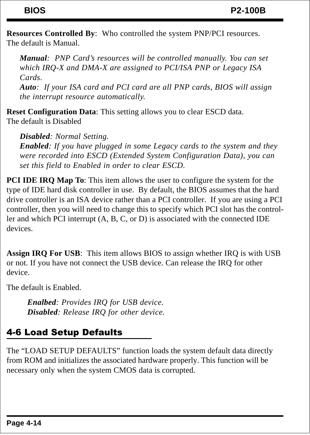**Resources Controlled By**: Who controlled the system PNP/PCI resources. The default is Manual.

*Manual: PNP Card's resources will be controlled manually. You can set which IRQ-X and DMA-X are assigned to PCI/ISA PNP or Legacy ISA Cards. Auto: If your ISA card and PCI card are all PNP cards, BIOS will assign the interrupt resource automatically.*

**Reset Configuration Data**: This setting allows you to clear ESCD data. The default is Disabled

*Disabled: Normal Setting.*

*Enabled: If you have plugged in some Legacy cards to the system and they were recorded into ESCD (Extended System Configuration Data), you can set this field to Enabled in order to clear ESCD.*

**PCI IDE IRQ Map To:** This item allows the user to configure the system for the type of IDE hard disk controller in use. By default, the BIOS assumes that the hard drive controller is an ISA device rather than a PCI controller. If you are using a PCI controller, then you will need to change this to specify which PCI slot has the controller and which PCI interrupt (A, B, C, or D) is associated with the connected IDE devices.

**Assign IRQ For USB**: This item allows BIOS to assign whether IRQ is with USB or not. If you have not connect the USB device. Can release the IRQ for other device.

The default is Enabled.

*Enalbed: Provides IRQ for USB device. Disabled: Release IRQ for other device.*

#### 4-6 Load Setup Defaults

The "LOAD SETUP DEFAULTS" function loads the system default data directly from ROM and initializes the associated hardware properly. This function will be necessary only when the system CMOS data is corrupted.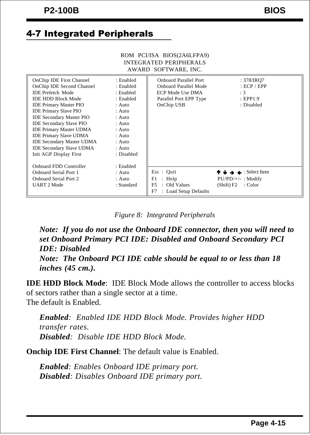#### 4-7 Integrated Peripherals

|                                                                                                                                                                                                                                                                                                                                                                                                                                                           |                                                                                                                                                               | ROM PCI/ISA BIOS(2A6LFPA9)<br>INTEGRATED PERIPHERALS<br>AWARD SOFTWARE, INC.                                             |                                                                                                        |
|-----------------------------------------------------------------------------------------------------------------------------------------------------------------------------------------------------------------------------------------------------------------------------------------------------------------------------------------------------------------------------------------------------------------------------------------------------------|---------------------------------------------------------------------------------------------------------------------------------------------------------------|--------------------------------------------------------------------------------------------------------------------------|--------------------------------------------------------------------------------------------------------|
| OnChip IDE First Channel<br>OnChip IDE Second Channel<br><b>IDE Prefetch Mode</b><br><b>IDE HDD Block Mode</b><br><b>IDE Primary Master PIO</b><br><b>IDE Primary Slave PIO</b><br><b>IDE Secondary Master PIO</b><br><b>IDE Secondary Slave PIO</b><br><b>IDE Primary Master UDMA</b><br><b>IDE Primary Slave UDMA</b><br><b>IDE Secondary Master UDMA</b><br><b>IDE Secondary Slave UDMA</b><br>Init AGP Display First<br><b>Onboard FDD Controller</b> | : Enabled<br>: Enabled<br>: Enabled<br>: Enabled<br>: Auto<br>$:$ Auto<br>: Auto<br>: Auto<br>: Auto<br>: Auto<br>: Auto<br>: Auto<br>: Disabled<br>: Enabled | <b>Onboard Parallel Port</b><br><b>Onboard Parallel Mode</b><br>ECP Mode Use DMA<br>Parallel Port EPP Type<br>OnChip USB | : 378/IRO7<br>ECP / EPP<br>:3<br>EPP1.9<br>: Disabled                                                  |
| <b>Onboard Serial Port 1</b><br><b>Onboard Serial Port 2</b><br><b>UART 2 Mode</b>                                                                                                                                                                                                                                                                                                                                                                        | $:$ Auto<br>: Auto<br>: Standard                                                                                                                              | Esc : Out<br>F1 : Help<br>: Old Values<br>F5<br>F7<br>: Load Setup Defaults                                              | $\uparrow \uparrow \rightarrow \bullet$ : Select Item<br>$PU/PD/+/-$ : Modify<br>(Shift) F2<br>: Color |
|                                                                                                                                                                                                                                                                                                                                                                                                                                                           |                                                                                                                                                               |                                                                                                                          |                                                                                                        |

*Figure 8: Integrated Peripherals*

*Note: If you do not use the Onboard IDE connector, then you will need to set Onboard Primary PCI IDE: Disabled and Onboard Secondary PCI IDE: Disabled Note: The Onboard PCI IDE cable should be equal to or less than 18 inches (45 cm.).*

**IDE HDD Block Mode**: IDE Block Mode allows the controller to access blocks of sectors rather than a single sector at a time. The default is Enabled.

*Enabled: Enabled IDE HDD Block Mode. Provides higher HDD transfer rates. Disabled: Disable IDE HDD Block Mode.*

**Onchip IDE First Channel**: The default value is Enabled.

*Enabled: Enables Onboard IDE primary port. Disabled: Disables Onboard IDE primary port.*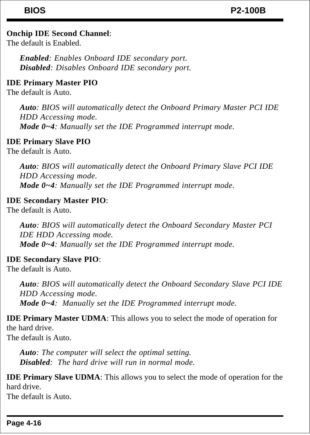#### **Onchip IDE Second Channel**:

The default is Enabled.

*Enabled: Enables Onboard IDE secondary port. Disabled: Disables Onboard IDE secondary port.*

#### **IDE Primary Master PIO**

The default is Auto.

*Auto: BIOS will automatically detect the Onboard Primary Master PCI IDE HDD Accessing mode. Mode 0~4: Manually set the IDE Programmed interrupt mode.*

#### **IDE Primary Slave PIO**

The default is Auto.

*Auto: BIOS will automatically detect the Onboard Primary Slave PCI IDE HDD Accessing mode. Mode 0~4: Manually set the IDE Programmed interrupt mode.*

#### **IDE Secondary Master PIO**:

The default is Auto.

*Auto: BIOS will automatically detect the Onboard Secondary Master PCI IDE HDD Accessing mode. Mode 0~4: Manually set the IDE Programmed interrupt mode.*

#### **IDE Secondary Slave PIO**:

The default is Auto.

*Auto: BIOS will automatically detect the Onboard Secondary Slave PCI IDE HDD Accessing mode. Mode 0~4: Manually set the IDE Programmed interrupt mode.*

**IDE Primary Master UDMA**: This allows you to select the mode of operation for the hard drive. The default is Auto.

*Auto: The computer will select the optimal setting. Disabled: The hard drive will run in normal mode.*

**IDE Primary Slave UDMA**: This allows you to select the mode of operation for the hard drive. The default is Auto.

**Page 4-16**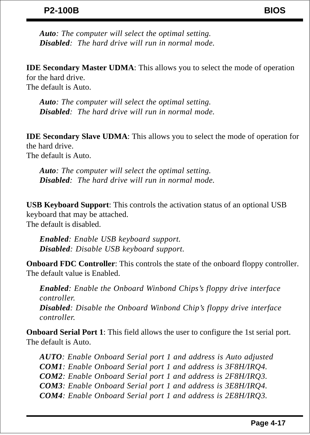*Auto: The computer will select the optimal setting. Disabled: The hard drive will run in normal mode.*

**IDE Secondary Master UDMA**: This allows you to select the mode of operation for the hard drive.

The default is Auto.

*Auto: The computer will select the optimal setting. Disabled: The hard drive will run in normal mode.*

**IDE Secondary Slave UDMA**: This allows you to select the mode of operation for the hard drive.

The default is Auto.

*Auto: The computer will select the optimal setting. Disabled: The hard drive will run in normal mode.*

**USB Keyboard Support**: This controls the activation status of an optional USB keyboard that may be attached. The default is disabled.

*Enabled: Enable USB keyboard support. Disabled: Disable USB keyboard support.*

**Onboard FDC Controller**: This controls the state of the onboard floppy controller. The default value is Enabled.

*Enabled: Enable the Onboard Winbond Chips's floppy drive interface controller. Disabled: Disable the Onboard Winbond Chip's floppy drive interface controller.*

**Onboard Serial Port 1**: This field allows the user to configure the 1st serial port. The default is Auto.

*AUTO: Enable Onboard Serial port 1 and address is Auto adjusted COM1: Enable Onboard Serial port 1 and address is 3F8H/IRQ4. COM2: Enable Onboard Serial port 1 and address is 2F8H/IRQ3. COM3: Enable Onboard Serial port 1 and address is 3E8H/IRQ4. COM4: Enable Onboard Serial port 1 and address is 2E8H/IRQ3.*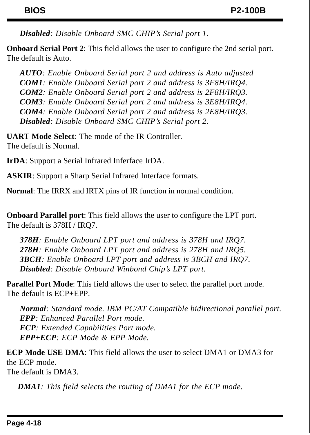*Disabled: Disable Onboard SMC CHIP's Serial port 1.*

**Onboard Serial Port 2**: This field allows the user to configure the 2nd serial port. The default is Auto.

*AUTO: Enable Onboard Serial port 2 and address is Auto adjusted COM1: Enable Onboard Serial port 2 and address is 3F8H/IRQ4. COM2: Enable Onboard Serial port 2 and address is 2F8H/IRQ3. COM3: Enable Onboard Serial port 2 and address is 3E8H/IRQ4. COM4: Enable Onboard Serial port 2 and address is 2E8H/IRQ3. Disabled: Disable Onboard SMC CHIP's Serial port 2.*

**UART Mode Select**: The mode of the IR Controller. The default is Normal.

**IrDA**: Support a Serial Infrared Inferface IrDA.

**ASKIR**: Support a Sharp Serial Infrared Interface formats.

**Normal**: The IRRX and IRTX pins of IR function in normal condition.

**Onboard Parallel port**: This field allows the user to configure the LPT port. The default is 378H / IRQ7.

*378H: Enable Onboard LPT port and address is 378H and IRQ7. 278H: Enable Onboard LPT port and address is 278H and IRQ5. 3BCH: Enable Onboard LPT port and address is 3BCH and IRQ7. Disabled: Disable Onboard Winbond Chip's LPT port.*

**Parallel Port Mode**: This field allows the user to select the parallel port mode. The default is ECP+EPP.

*Normal: Standard mode. IBM PC/AT Compatible bidirectional parallel port. EPP: Enhanced Parallel Port mode. ECP: Extended Capabilities Port mode. EPP+ECP: ECP Mode & EPP Mode.*

**ECP Mode USE DMA**: This field allows the user to select DMA1 or DMA3 for the ECP mode. The default is DMA3.

*DMA1: This field selects the routing of DMA1 for the ECP mode.*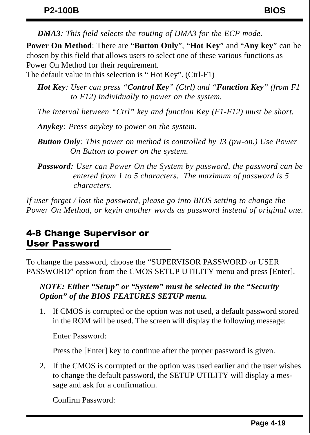*DMA3: This field selects the routing of DMA3 for the ECP mode.*

**Power On Method**: There are "**Button Only**", "**Hot Key**" and "**Any key**" can be chosen by this field that allows users to select one of these various functions as Power On Method for their requirement.

The default value in this selection is " Hot Key". (Ctrl-F1)

*Hot Key: User can press "Control Key" (Ctrl) and "Function Key" (from F1 to F12) individually to power on the system.*

*The interval between "Ctrl" key and function Key (F1-F12) must be short.*

*Anykey: Press anykey to power on the system.*

*Button Only: This power on method is controlled by J3 (pw-on.) Use Power On Button to power on the system.*

*Password: User can Power On the System by password, the password can be entered from 1 to 5 characters. The maximum of password is 5 characters.*

*If user forget / lost the password, please go into BIOS setting to change the Power On Method, or keyin another words as password instead of original one.*

#### 4-8 Change Supervisor or User Password

To change the password, choose the "SUPERVISOR PASSWORD or USER PASSWORD" option from the CMOS SETUP UTILITY menu and press [Enter].

#### *NOTE: Either "Setup" or "System" must be selected in the "Security Option" of the BIOS FEATURES SETUP menu.*

1. If CMOS is corrupted or the option was not used, a default password stored in the ROM will be used. The screen will display the following message:

Enter Password:

Press the [Enter] key to continue after the proper password is given.

2. If the CMOS is corrupted or the option was used earlier and the user wishes to change the default password, the SETUP UTILITY will display a message and ask for a confirmation.

Confirm Password: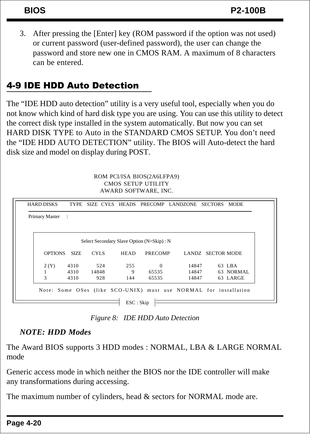3. After pressing the [Enter] key (ROM password if the option was not used) or current password (user-defined password), the user can change the password and store new one in CMOS RAM. A maximum of 8 characters can be entered.

#### 4-9 IDE HDD Auto Detection

The "IDE HDD auto detection" utility is a very useful tool, especially when you do not know which kind of hard disk type you are using. You can use this utility to detect the correct disk type installed in the system automatically. But now you can set HARD DISK TYPE to Auto in the STANDARD CMOS SETUP. You don't need the "IDE HDD AUTO DETECTION" utility. The BIOS will Auto-detect the hard disk size and model on display during POST.

#### ROM PCI/ISA BIOS(2A6LFPA9) CMOS SETUP UTILITY AWARD SOFTWARE, INC.

|                |             |       |             | Select Secondary Slave Option (N=Skip) : N |       |                          |  |
|----------------|-------------|-------|-------------|--------------------------------------------|-------|--------------------------|--|
| <b>OPTIONS</b> | <b>SIZE</b> | CYLS. | <b>HEAD</b> | <b>PRECOMP</b>                             |       | <b>LANDZ SECTOR MODE</b> |  |
| 2(Y)           | 4310        | 524   | 255         | $\Omega$                                   | 14847 | 63 LBA                   |  |
|                | 4310        | 14848 | 9           | 65535                                      | 14847 | 63 NORMAL                |  |
| 3              | 4310        | 928   | 144         | 65535                                      | 14847 | 63 LARGE                 |  |

*Figure 8: IDE HDD Auto Detection*

#### *NOTE: HDD Modes*

The Award BIOS supports 3 HDD modes : NORMAL, LBA & LARGE NORMAL mode

Generic access mode in which neither the BIOS nor the IDE controller will make any transformations during accessing.

The maximum number of cylinders, head  $\&$  sectors for NORMAL mode are.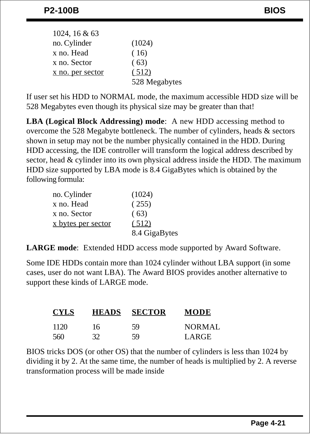| 1024, 16 $& 63$  |               |
|------------------|---------------|
| no. Cylinder     | (1024)        |
| x no. Head       | (16)          |
| x no. Sector     | (63)          |
| x no. per sector | (512)         |
|                  | 528 Megabytes |

If user set his HDD to NORMAL mode, the maximum accessible HDD size will be 528 Megabytes even though its physical size may be greater than that!

**LBA (Logical Block Addressing) mode**: A new HDD accessing method to overcome the 528 Megabyte bottleneck. The number of cylinders, heads & sectors shown in setup may not be the number physically contained in the HDD. During HDD accessing, the IDE controller will transform the logical address described by sector, head & cylinder into its own physical address inside the HDD. The maximum HDD size supported by LBA mode is 8.4 GigaBytes which is obtained by the following formula:

| (1024)        |
|---------------|
| (255)         |
| (63)          |
| (512)         |
| 8.4 GigaBytes |
|               |

**LARGE mode**: Extended HDD access mode supported by Award Software.

Some IDE HDDs contain more than 1024 cylinder without LBA support (in some cases, user do not want LBA). The Award BIOS provides another alternative to support these kinds of LARGE mode.

| <b>CYLS</b> | <b>HEADS</b> | <b>SECTOR</b> | <b>MODE</b> |
|-------------|--------------|---------------|-------------|
| 1120        | 16           | 59            | NORMAL      |
| 560         | 32           | 59            | LARGE       |

BIOS tricks DOS (or other OS) that the number of cylinders is less than 1024 by dividing it by 2. At the same time, the number of heads is multiplied by 2. A reverse transformation process will be made inside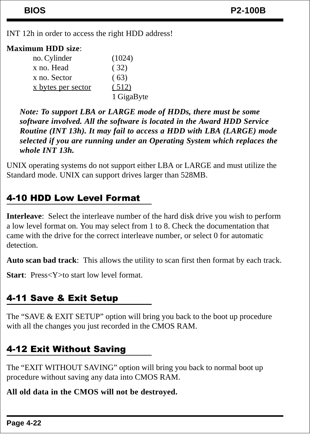INT 12h in order to access the right HDD address!

#### **Maximum HDD size**:

| no. Cylinder       | (1024)     |
|--------------------|------------|
| x no. Head         | (32)       |
| x no. Sector       | (63)       |
| x bytes per sector | (512)      |
|                    | 1 GigaByte |

*Note: To support LBA or LARGE mode of HDDs, there must be some software involved. All the software is located in the Award HDD Service Routine (INT 13h). It may fail to access a HDD with LBA (LARGE) mode selected if you are running under an Operating System which replaces the whole INT 13h.*

UNIX operating systems do not support either LBA or LARGE and must utilize the Standard mode. UNIX can support drives larger than 528MB.

# 4-10 HDD Low Level Format

**Interleave**: Select the interleave number of the hard disk drive you wish to perform a low level format on. You may select from 1 to 8. Check the documentation that came with the drive for the correct interleave number, or select 0 for automatic detection.

**Auto scan bad track**: This allows the utility to scan first then format by each track.

**Start:** Press<Y>to start low level format.

# 4-11 Save & Exit Setup

The "SAVE  $&$  EXIT SETUP" option will bring you back to the boot up procedure with all the changes you just recorded in the CMOS RAM.

# 4-12 Exit Without Saving

The "EXIT WITHOUT SAVING" option will bring you back to normal boot up procedure without saving any data into CMOS RAM.

#### **All old data in the CMOS will not be destroyed.**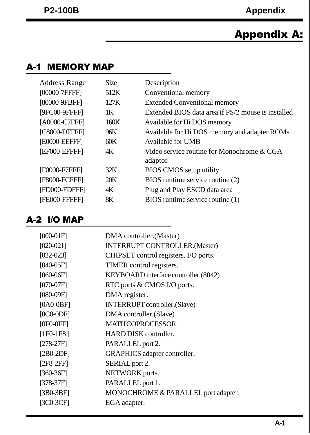# Appendix A:

## A-1 MEMORY MAP

| <b>Address Range</b> | <b>Size</b> | Description                                           |
|----------------------|-------------|-------------------------------------------------------|
| [00000-7FFFF]        | 512K        | Conventional memory                                   |
| [80000-9FBFF]        | 127K        | <b>Extended Conventional memory</b>                   |
| [9FC00-9FFFF]        | 1Κ          | Extended BIOS data area if PS/2 mouse is installed    |
| [A0000-C7FFF]        | 160K        | Available for Hi DOS memory                           |
| [C8000-DFFFF]        | 96K         | Available for Hi DOS memory and adapter ROMs          |
| [E0000-EEFFF]        | 60K         | Available for UMB                                     |
| <b>[EF000-EFFFF]</b> | 4K          | Video service routine for Monochrome & CGA<br>adaptor |
| [F0000-F7FFF]        | 32K         | <b>BIOS CMOS</b> setup utility                        |
| [F8000-FCFFF]        | 20K         | BIOS runtime service routine (2)                      |
| [FD000-FDFFF]        | 4K          | Plug and Play ESCD data area                          |
| <b>IFE000-FFFFFI</b> | 8K          | BIOS runtime service routine (1)                      |

#### A-2 I/O MAP

| $[000-01$ Fl | DMA controller. (Master)              |
|--------------|---------------------------------------|
| $[020-021]$  | <b>INTERRUPT CONTROLLER.</b> (Master) |
| $[022-023]$  | CHIPSET control registers. I/O ports. |
| $[040-05F]$  | TIMER control registers.              |
| $[060-06F]$  | KEYBOARD interface controller. (8042) |
| $[070-07F]$  | RTC ports & CMOS I/O ports.           |
| $[080-09F]$  | DMA register.                         |
| $[0A0-0BF]$  | INTERRUPT controller. (Slave)         |
| $[0C0-0DF]$  | DMA controller. (Slave)               |
| $[0F0-0FF]$  | <b>MATHCOPROCESSOR.</b>               |
| $[1F0-1F8]$  | HARD DISK controller.                 |
| $[278-27F]$  | PARALLEL port 2.                      |
| $[2B0-2DF]$  | GRAPHICS adapter controller.          |
| $[2F8-2FF]$  | SERIAL port 2.                        |
| $[360-36F]$  | NETWORK ports.                        |
| $[378-37F]$  | PARALLEL port 1.                      |
| $[3B0-3BF]$  | MONOCHROME & PARALLEL port adapter.   |
| [3C0-3CF]    | EGA adapter.                          |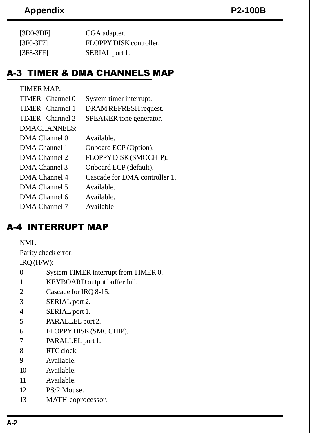#### **Appendix**

| $[3D0-3DF]$ | CGA adapter.            |
|-------------|-------------------------|
| [3F0-3F7]   | FLOPPY DISK controller. |
| [3F8-3FF]   | SERIAL port 1.          |

#### A-3 TIMER & DMA CHANNELS MAP

| <b>TIMER MAP:</b> |                               |
|-------------------|-------------------------------|
| TIMER Channel 0   | System timer interrupt.       |
| TIMER Channel 1   | DRAM REFRESH request.         |
| TIMER Channel 2   | SPEAKER tone generator.       |
| DMA CHANNELS:     |                               |
| DMA Channel 0     | Available.                    |
| DMA Channel 1     | Onboard ECP (Option).         |
| DMA Channel 2     | FLOPPY DISK (SMCCHIP).        |
| DMA Channel 3     | Onboard ECP (default).        |
| DMA Channel 4     | Cascade for DMA controller 1. |
| DMA Channel 5     | Available.                    |
| DMA Channel 6     | Available.                    |
| DMA Channel 7     | Available                     |
|                   |                               |

#### A-4 INTERRUPT MAP

NMI :

Parity check error.

IRQ (H/W):

- 0 System TIMER interrupt from TIMER 0.
- 1 KEYBOARD output buffer full.
- 2 Cascade for IRQ 8-15.
- 3 SERIAL port 2.
- 4 SERIAL port 1.
- 5 PARALLEL port 2.
- 6 FLOPPY DISK (SMC CHIP).
- 7 PARALLEL port 1.
- 8 RTC clock.
- 9 Available.
- 10 Available.
- 11 Available.
- 12 PS/2 Mouse.
- 13 MATH coprocessor.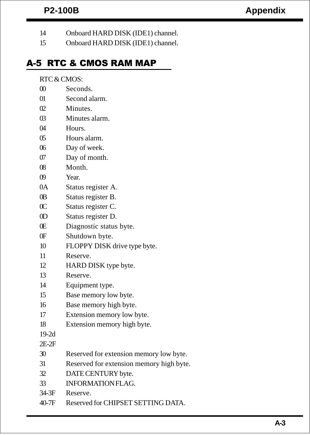- 14 Onboard HARD DISK (IDE1) channel.
- 15 Onboard HARD DISK (IDE1) channel.

#### A-5 RTC & CMOS RAM MAP

RTC & CMOS:

- 00 Seconds.
- 01 Second alarm.
- 02 Minutes.
- 03 Minutes alarm.
- 04 Hours.
- 05 Hours alarm.
- 06 Day of week.
- 07 Day of month.
- 08 Month.
- 09 Year.
- 0A Status register A.
- 0B Status register B.
- 0C Status register C.
- 0D Status register D.
- 0E Diagnostic status byte.
- 0F Shutdown byte.
- 10 FLOPPY DISK drive type byte.
- 11 Reserve.
- 12 HARD DISK type byte.
- 13 Reserve.
- 14 Equipment type.
- 15 Base memory low byte.
- 16 Base memory high byte.
- 17 Extension memory low byte.
- 18 Extension memory high byte.
- 19-2d
- 2E-2F
- 30 Reserved for extension memory low byte.
- 31 Reserved for extension memory high byte.
- 32 DATE CENTURY byte.
- 33 INFORMATION FLAG.
- 34-3F Reserve.
- 40-7F Reserved for CHIPSET SETTING DATA.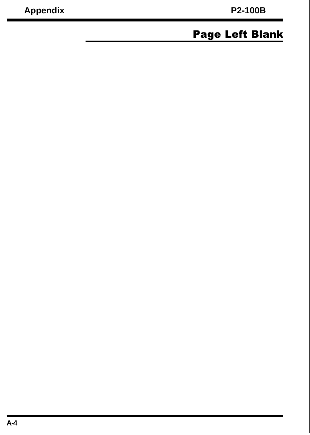# Page Left Blank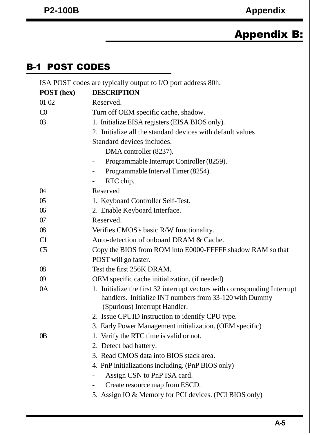# Appendix B:

#### B-1 POST CODES

|                  | ISA POST codes are typically output to I/O port address 80h.                                                                                                          |  |
|------------------|-----------------------------------------------------------------------------------------------------------------------------------------------------------------------|--|
| POST (hex)       | <b>DESCRIPTION</b>                                                                                                                                                    |  |
| 01-02            | Reserved.                                                                                                                                                             |  |
| $\Omega$         | Turn off OEM specific cache, shadow.                                                                                                                                  |  |
| $\boldsymbol{0}$ | 1. Initialize EISA registers (EISA BIOS only).                                                                                                                        |  |
|                  | 2. Initialize all the standard devices with default values                                                                                                            |  |
|                  | Standard devices includes.                                                                                                                                            |  |
|                  | DMA controller (8237).                                                                                                                                                |  |
|                  | Programmable Interrupt Controller (8259).                                                                                                                             |  |
|                  | Programmable Interval Timer (8254).<br>$\overline{\phantom{m}}$                                                                                                       |  |
|                  | RTC chip.<br>$\overline{\phantom{a}}$                                                                                                                                 |  |
| $\Omega$         | Reserved                                                                                                                                                              |  |
| 05               | 1. Keyboard Controller Self-Test.                                                                                                                                     |  |
| 06               | 2. Enable Keyboard Interface.                                                                                                                                         |  |
| 07               | Reserved.                                                                                                                                                             |  |
| 08               | Verifies CMOS's basic R/W functionality.                                                                                                                              |  |
| C <sub>1</sub>   | Auto-detection of onboard DRAM & Cache.                                                                                                                               |  |
| C <sub>5</sub>   | Copy the BIOS from ROM into E0000-FFFFF shadow RAM so that                                                                                                            |  |
|                  | POST will go faster.                                                                                                                                                  |  |
| 08               | Test the first 256K DRAM.                                                                                                                                             |  |
| 09               | OEM specific cache initialization. (if needed)                                                                                                                        |  |
| 0A               | 1. Initialize the first 32 interrupt vectors with corresponding Interrupt<br>handlers. Initialize INT numbers from 33-120 with Dummy<br>(Spurious) Interrupt Handler. |  |
|                  | 2. Issue CPUID instruction to identify CPU type.                                                                                                                      |  |
|                  | 3. Early Power Management initialization. (OEM specific)                                                                                                              |  |
| 0 <sub>B</sub>   | 1. Verify the RTC time is valid or not.                                                                                                                               |  |
|                  | 2. Detect bad battery.                                                                                                                                                |  |
|                  | 3. Read CMOS data into BIOS stack area.                                                                                                                               |  |
|                  | 4. PnP initializations including. (PnP BIOS only)                                                                                                                     |  |
|                  | Assign CSN to PnP ISA card.<br>$\qquad \qquad \blacksquare$                                                                                                           |  |
|                  | Create resource map from ESCD.                                                                                                                                        |  |
|                  | 5. Assign IO & Memory for PCI devices. (PCI BIOS only)                                                                                                                |  |
|                  |                                                                                                                                                                       |  |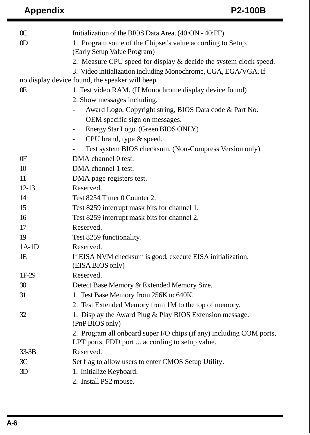| <b>Appendix</b> | <b>P2-100B</b>                                                                                                         |  |
|-----------------|------------------------------------------------------------------------------------------------------------------------|--|
| œ               | Initialization of the BIOS Data Area. (40:ON - 40:FF)                                                                  |  |
| 0D              | 1. Program some of the Chipset's value according to Setup.                                                             |  |
|                 | (Early Setup Value Program)                                                                                            |  |
|                 | 2. Measure CPU speed for display & decide the system clock speed.                                                      |  |
|                 | 3. Video initialization including Monochrome, CGA, EGA/VGA. If                                                         |  |
|                 | no display device found, the speaker will beep.                                                                        |  |
| Œ               | 1. Test video RAM. (If Monochrome display device found)                                                                |  |
|                 | 2. Show messages including.                                                                                            |  |
|                 | Award Logo, Copyright string, BIOS Data code & Part No.                                                                |  |
|                 | OEM specific sign on messages.                                                                                         |  |
|                 | Energy Star Logo. (Green BIOS ONLY)                                                                                    |  |
|                 | CPU brand, type & speed.                                                                                               |  |
|                 | Test system BIOS checksum. (Non-Compress Version only)                                                                 |  |
| 0F              | DMA channel 0 test.                                                                                                    |  |
| 10              | DMA channel 1 test.                                                                                                    |  |
| 11              | DMA page registers test.                                                                                               |  |
| $12 - 13$       | Reserved.                                                                                                              |  |
| 14              | Test 8254 Timer 0 Counter 2.                                                                                           |  |
| 15              | Test 8259 interrupt mask bits for channel 1.                                                                           |  |
| 16              | Test 8259 interrupt mask bits for channel 2.                                                                           |  |
| 17              | Reserved.                                                                                                              |  |
| 19              | Test 8259 functionality.                                                                                               |  |
| 1A-1D           | Reserved.                                                                                                              |  |
| 1E              | If EISA NVM checksum is good, execute EISA initialization.                                                             |  |
|                 | (EISA BIOS only)                                                                                                       |  |
| 1F-29           | Reserved.                                                                                                              |  |
| 30              | Detect Base Memory & Extended Memory Size.                                                                             |  |
| 31              | 1. Test Base Memory from 256K to 640K.                                                                                 |  |
|                 | 2. Test Extended Memory from 1M to the top of memory.                                                                  |  |
| 32              | 1. Display the Award Plug & Play BIOS Extension message.<br>(PnP BIOS only)                                            |  |
|                 | 2. Program all onboard super I/O chips (if any) including COM ports,<br>LPT ports, FDD port  according to setup value. |  |
| 33-3B           | Reserved.                                                                                                              |  |
| 3C              | Set flag to allow users to enter CMOS Setup Utility.                                                                   |  |
| 3D              | 1. Initialize Keyboard.                                                                                                |  |
|                 | 2. Install PS2 mouse.                                                                                                  |  |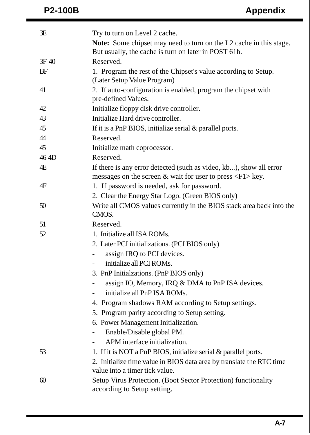| 3E    | Try to turn on Level 2 cache.                                                                                                           |  |
|-------|-----------------------------------------------------------------------------------------------------------------------------------------|--|
|       | Note: Some chipset may need to turn on the L2 cache in this stage.<br>But usually, the cache is turn on later in POST 61h.              |  |
| 3F-40 | Reserved.                                                                                                                               |  |
| BF    | 1. Program the rest of the Chipset's value according to Setup.<br>(Later Setup Value Program)                                           |  |
| 41    | 2. If auto-configuration is enabled, program the chipset with<br>pre-defined Values.                                                    |  |
| 42    | Initialize floppy disk drive controller.                                                                                                |  |
| 43    | Initialize Hard drive controller.                                                                                                       |  |
| 45    | If it is a PnP BIOS, initialize serial $&$ parallel ports.                                                                              |  |
| 44    | Reserved.                                                                                                                               |  |
| 45    | Initialize math coprocessor.                                                                                                            |  |
| 46-4D | Reserved.                                                                                                                               |  |
| 4E    | If there is any error detected (such as video, kb), show all error<br>messages on the screen $\&$ wait for user to press <f1> key.</f1> |  |
| 4F    | 1. If password is needed, ask for password.                                                                                             |  |
|       | 2. Clear the Energy Star Logo. (Green BIOS only)                                                                                        |  |
| 50    | Write all CMOS values currently in the BIOS stack area back into the<br>CMOS.                                                           |  |
| 51    | Reserved.                                                                                                                               |  |
| 52    | 1. Initialize all ISA ROMs.                                                                                                             |  |
|       | 2. Later PCI initializations. (PCI BIOS only)                                                                                           |  |
|       | assign IRQ to PCI devices.<br>$\overline{\phantom{0}}$                                                                                  |  |
|       | initialize all PCI ROMs.                                                                                                                |  |
|       | 3. PnP Initialzations. (PnP BIOS only)                                                                                                  |  |
|       | assign IO, Memory, IRQ & DMA to PnP ISA devices.<br>$\frac{1}{2}$                                                                       |  |
|       | initialize all PnP ISA ROMs.                                                                                                            |  |
|       | 4. Program shadows RAM according to Setup settings.                                                                                     |  |
|       | 5. Program parity according to Setup setting.                                                                                           |  |
|       | 6. Power Management Initialization.                                                                                                     |  |
|       | Enable/Disable global PM.<br>$\overline{\phantom{a}}$                                                                                   |  |
|       | APM interface initialization.                                                                                                           |  |
| 53    | 1. If it is NOT a PnP BIOS, initialize serial & parallel ports.                                                                         |  |
|       | 2. Initialize time value in BIOS data area by translate the RTC time                                                                    |  |
|       | value into a timer tick value.                                                                                                          |  |
| 60    | Setup Virus Protection. (Boot Sector Protection) functionality<br>according to Setup setting.                                           |  |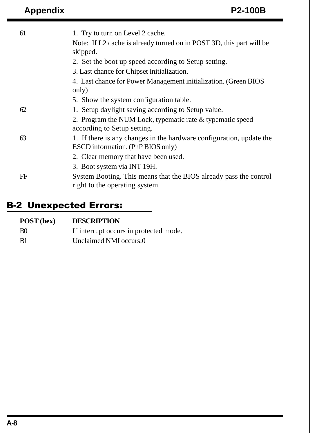| <b>Appendix</b> | <b>P2-100B</b>                                                                                            |
|-----------------|-----------------------------------------------------------------------------------------------------------|
| 61              | 1. Try to turn on Level 2 cache.                                                                          |
|                 | Note: If L2 cache is already turned on in POST 3D, this part will be<br>skipped.                          |
|                 | 2. Set the boot up speed according to Setup setting.                                                      |
|                 | 3. Last chance for Chipset initialization.                                                                |
|                 | 4. Last chance for Power Management initialization. (Green BIOS<br>only)                                  |
|                 | 5. Show the system configuration table.                                                                   |
| 62              | 1. Setup daylight saving according to Setup value.                                                        |
|                 | 2. Program the NUM Lock, typematic rate & typematic speed<br>according to Setup setting.                  |
| 63              | 1. If there is any changes in the hardware configuration, update the<br>ESCD information. (PnP BIOS only) |
|                 | 2. Clear memory that have been used.                                                                      |
|                 | 3. Boot system via INT 19H.                                                                               |
| FF              | System Booting. This means that the BIOS already pass the control<br>right to the operating system.       |

# B-2 Unexpected Errors:

| POST (hex) | <b>DESCRIPTION</b>                     |  |
|------------|----------------------------------------|--|
| BO.        | If interrupt occurs in protected mode. |  |
| B1         | Unclaimed NMI occurs.0                 |  |